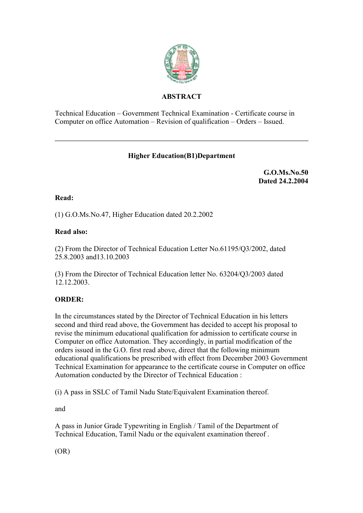

## **ABSTRACT**

Technical Education – Government Technical Examination - Certificate course in Computer on office Automation – Revision of qualification – Orders – Issued.

# **Higher Education(B1)Department**

**G.O.Ms.No.50 Dated 24.2.2004**

#### **Read:**

(1) G.O.Ms.No.47, Higher Education dated 20.2.2002

### **Read also:**

(2) From the Director of Technical Education Letter No.61195/Q3/2002, dated 25.8.2003 and13.10.2003

(3) From the Director of Technical Education letter No. 63204/Q3/2003 dated 12.12.2003.

### **ORDER:**

In the circumstances stated by the Director of Technical Education in his letters second and third read above, the Government has decided to accept his proposal to revise the minimum educational qualification for admission to certificate course in Computer on office Automation. They accordingly, in partial modification of the orders issued in the G.O. first read above, direct that the following minimum educational qualifications be prescribed with effect from December 2003 Government Technical Examination for appearance to the certificate course in Computer on office Automation conducted by the Director of Technical Education :

(i) A pass in SSLC of Tamil Nadu State/Equivalent Examination thereof.

and

A pass in Junior Grade Typewriting in English / Tamil of the Department of Technical Education, Tamil Nadu or the equivalent examination thereof .

(OR)